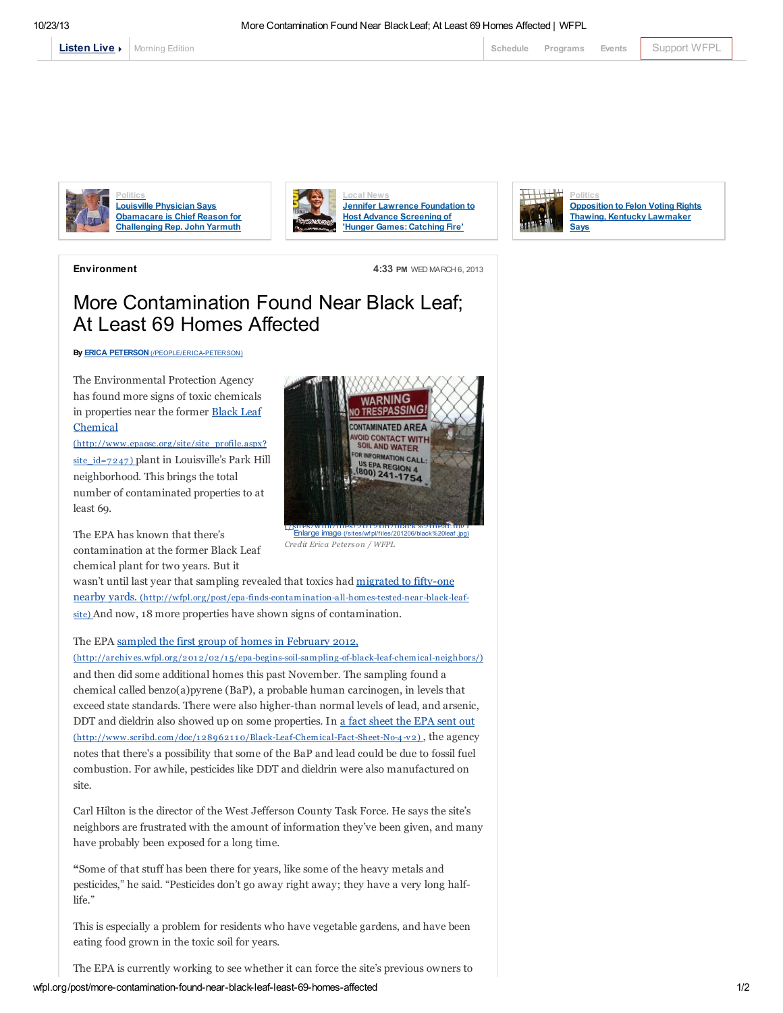[Morning](http://local.wfpl.org/stream.html) Edition **[Schedule](http://www.publicbroadcasting.net/wfpl/guide.guidemain) [Programs](http://wfpl.org/programs) [Events](http://www.publicbroadcasting.net/wfpl/events.eventsmain)** [Support](https://louisvillepublicmedia.webconnex.com/contribute) WFPL Schedule Programs Events Support WFPL



**Politics** Louisville Physician Says [Obamacare](http://wfpl.org/post/louisville-physician-says-obamacare-chief-reason-challenging-rep-john-yarmuth) is Chief Reason for Challenging Rep. John Yarmuth







Environment 4:33 PM WED MARCH 6, 2013

## More Contamination Found Near Black Leaf; At Least 69 Homes Affected

By **ERICA PETERSON** [\(/PEOPLE/ERICA-PETERSON\)](http://wfpl.org/people/erica-peterson)

The Environmental Protection Agency has found more signs of toxic chemicals in properties near the former Black Leaf Chemical

[\(http://www.epaosc.org/site/site\\_profile.aspx?](http://www.epaosc.org/site/site_profile.aspx?site_id=7247) site  $id=7247$  plant in Louisville's Park Hill neighborhood. This brings the total number of contaminated properties to at least 69.

The EPA has known that there's contamination at the former Black Leaf chemical plant for two years. But it



*Credit Erica Peterson / WFPL* Enlarge image (/sites/wf pl/f [iles/201206/black%20leaf](http://wfpl.org/sites/wfpl/files/201206/black%20leaf.jpg) .jpg)

wasn't until last year that sampling revealed that toxics had migrated to fifty-one nearby yards. [\(http://wfpl.org/post/epa-finds-contamination-all-homes-tested-near-black-leaf](http://wfpl.org/post/epa-finds-contamination-all-homes-tested-near-black-leaf-site)site) And now, 18 more properties have shown signs of contamination.

## The EPA sampled the first group of homes in February 2012,

(http://archives.wfpl.org/201 2/02/1 [5/epa-begins-soil-sampling-of-black-leaf-chemical-neighbors/\)](http://archives.wfpl.org/2012/02/15/epa-begins-soil-sampling-of-black-leaf-chemical-neighbors/) and then did some additional homes this past November. The sampling found a chemical called benzo(a)pyrene (BaP), a probable human carcinogen, in levels that exceed state standards. There were also higher-than normal levels of lead, and arsenic, DDT and dieldrin also showed up on some properties. In a fact sheet the EPA sent out (http://www.scribd.com/doc/1 289621 1 [0/Black-Leaf-Chemical-Fact-Sheet-No-4-v](http://www.scribd.com/doc/128962110/Black-Leaf-Chemical-Fact-Sheet-No-4-v2) 2) , the agency notes that there's a possibility that some of the BaP and lead could be due to fossil fuel combustion. For awhile, pesticides like DDT and dieldrin were also manufactured on site.

Carl Hilton is the director of the West Jefferson County Task Force. He says the site's neighbors are frustrated with the amount of information they've been given, and many have probably been exposed for a long time.

"Some of that stuff has been there for years, like some of the heavy metals and pesticides," he said. "Pesticides don't go away right away; they have a very long halflife."

This is especially a problem for residents who have vegetable gardens, and have been eating food grown in the toxic soil for years.

The EPA is currently working to see whether it can force the site's previous owners to